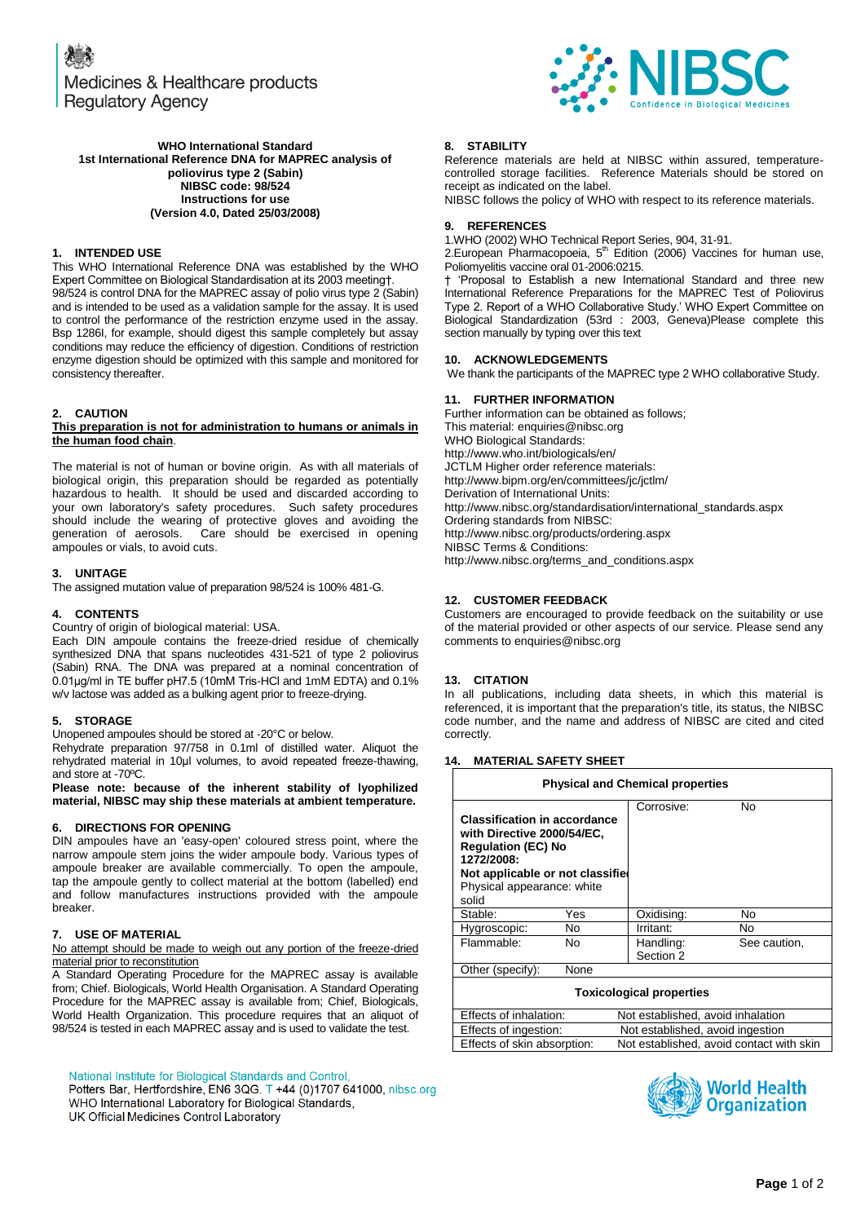Medicines & Healthcare products **Regulatory Agency** 



#### **WHO International Standard 1st International Reference DNA for MAPREC analysis of poliovirus type 2 (Sabin) NIBSC code: 98/524 Instructions for use (Version 4.0, Dated 25/03/2008)**

# **1. INTENDED USE**

This WHO International Reference DNA was established by the WHO Expert Committee on Biological Standardisation at its 2003 meeting†. 98/524 is control DNA for the MAPREC assay of polio virus type 2 (Sabin) and is intended to be used as a validation sample for the assay. It is used to control the performance of the restriction enzyme used in the assay. Bsp 1286I, for example, should digest this sample completely but assay conditions may reduce the efficiency of digestion. Conditions of restriction enzyme digestion should be optimized with this sample and monitored for consistency thereafter.

# **2. CAUTION**

#### **This preparation is not for administration to humans or animals in the human food chain**.

The material is not of human or bovine origin. As with all materials of biological origin, this preparation should be regarded as potentially hazardous to health. It should be used and discarded according to your own laboratory's safety procedures. Such safety procedures should include the wearing of protective gloves and avoiding the generation of aerosols. Care should be exercised in opening Care should be exercised in opening ampoules or vials, to avoid cuts.

### **3. UNITAGE**

The assigned mutation value of preparation 98/524 is 100% 481-G.

### **4. CONTENTS**

Country of origin of biological material: USA.

Each DIN ampoule contains the freeze-dried residue of chemically synthesized DNA that spans nucleotides 431-521 of type 2 poliovirus (Sabin) RNA. The DNA was prepared at a nominal concentration of 0.01μg/ml in TE buffer pH7.5 (10mM Tris-HCl and 1mM EDTA) and 0.1% w/v lactose was added as a bulking agent prior to freeze-drying.

### **5. STORAGE**

Unopened ampoules should be stored at -20°C or below.

Rehydrate preparation 97/758 in 0.1ml of distilled water. Aliquot the rehydrated material in 10μl volumes, to avoid repeated freeze-thawing, and store at -70ºC.

**Please note: because of the inherent stability of lyophilized material, NIBSC may ship these materials at ambient temperature.**

### **6. DIRECTIONS FOR OPENING**

DIN ampoules have an 'easy-open' coloured stress point, where the narrow ampoule stem joins the wider ampoule body. Various types of ampoule breaker are available commercially. To open the ampoule, tap the ampoule gently to collect material at the bottom (labelled) end and follow manufactures instructions provided with the ampoule breaker.

### **7. USE OF MATERIAL**

#### No attempt should be made to weigh out any portion of the freeze-dried material prior to reconstitution

A Standard Operating Procedure for the MAPREC assay is available from; Chief. Biologicals, World Health Organisation. A Standard Operating Procedure for the MAPREC assay is available from; Chief, Biologicals, World Health Organization. This procedure requires that an aliquot of 98/524 is tested in each MAPREC assay and is used to validate the test.

National Institute for Biological Standards and Control,

Potters Bar, Hertfordshire, EN6 3QG. T +44 (0)1707 641000, nibsc.org WHO International Laboratory for Biological Standards, UK Official Medicines Control Laboratory

#### **8. STABILITY**

Reference materials are held at NIBSC within assured, temperaturecontrolled storage facilities. Reference Materials should be stored on receipt as indicated on the label.

NIBSC follows the policy of WHO with respect to its reference materials.

### **9. REFERENCES**

1.WHO (2002) WHO Technical Report Series, 904, 31-91.

2. European Pharmacopoeia,  $5<sup>th</sup>$  Edition (2006) Vaccines for human use, Poliomyelitis vaccine oral 01-2006:0215.

† "Proposal to Establish a new International Standard and three new International Reference Preparations for the MAPREC Test of Poliovirus Type 2. Report of a WHO Collaborative Study." WHO Expert Committee on Biological Standardization (53rd : 2003, Geneva)Please complete this section manually by typing over this text

# **10. ACKNOWLEDGEMENTS**

We thank the participants of the MAPREC type 2 WHO collaborative Study.

#### **11. FURTHER INFORMATION**

Further information can be obtained as follows; This material[: enquiries@nibsc.org](mailto:enquiries@nibsc.org) WHO Biological Standards: <http://www.who.int/biologicals/en/> JCTLM Higher order reference materials: <http://www.bipm.org/en/committees/jc/jctlm/> Derivation of International Units: [http://www.nibsc.org/standardisation/international\\_standards.aspx](http://www.nibsc.org/standardisation/international_standards.aspx) Ordering standards from NIBSC: <http://www.nibsc.org/products/ordering.aspx> NIBSC Terms & Conditions: [http://www.nibsc.org/terms\\_and\\_conditions.aspx](http://www.nibsc.ac.uk/terms_and_conditions.aspx)

### **12. CUSTOMER FEEDBACK**

Customers are encouraged to provide feedback on the suitability or use of the material provided or other aspects of our service. Please send any comments t[o enquiries@nibsc.org](mailto:enquiries@nibsc.org)

### **13. CITATION**

In all publications, including data sheets, in which this material is referenced, it is important that the preparation's title, its status, the NIBSC code number, and the name and address of NIBSC are cited and cited correctly.

### **14. MATERIAL SAFETY SHEET**

| <b>Physical and Chemical properties</b>                                                                                                                                                 |      |                                   |              |  |
|-----------------------------------------------------------------------------------------------------------------------------------------------------------------------------------------|------|-----------------------------------|--------------|--|
| <b>Classification in accordance</b><br>with Directive 2000/54/EC.<br><b>Regulation (EC) No</b><br>1272/2008:<br>Not applicable or not classified<br>Physical appearance: white<br>solid |      | Corrosive:                        | No           |  |
| Stable:                                                                                                                                                                                 | Yes  | Oxidising:                        | No           |  |
| Hygroscopic:                                                                                                                                                                            | No.  | Irritant:                         | No           |  |
| Flammable:                                                                                                                                                                              | No   | Handling:<br>Section 2            | See caution. |  |
| Other (specify):                                                                                                                                                                        | None |                                   |              |  |
| <b>Toxicological properties</b>                                                                                                                                                         |      |                                   |              |  |
| Effects of inhalation:                                                                                                                                                                  |      | Not established, avoid inhalation |              |  |
| Effects of ingestion:                                                                                                                                                                   |      | Not established, avoid ingestion  |              |  |

Effects of skin absorption: Not established, avoid contact with skin